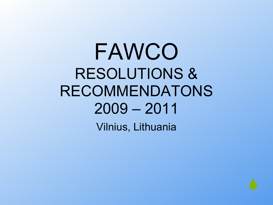## FAWCO RESOLUTIONS & RECOMMENDATONS 2009 – 2011

Vilnius, Lithuania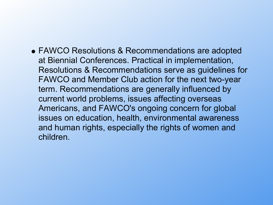FAWCO Resolutions & Recommendations are adopted at Biennial Conferences. Practical in implementation, Resolutions & Recommendations serve as guidelines for FAWCO and Member Club action for the next two-year term. Recommendations are generally influenced by current world problems, issues affecting overseas Americans, and FAWCO's ongoing concern for global issues on education, health, environmental awareness and human rights, especially the rights of women and children.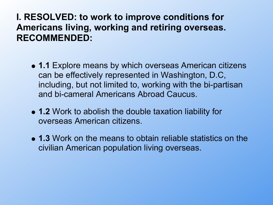## **I. RESOLVED: to work to improve conditions for Americans living, working and retiring overseas. RECOMMENDED:**

- **1.1** Explore means by which overseas American citizens can be effectively represented in Washington, D.C, including, but not limited to, working with the bi-partisan and bi-cameral Americans Abroad Caucus.
- **1.2** Work to abolish the double taxation liability for overseas American citizens.
- **1.3** Work on the means to obtain reliable statistics on the civilian American population living overseas.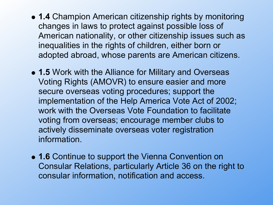- **1.4** Champion American citizenship rights by monitoring changes in laws to protect against possible loss of American nationality, or other citizenship issues such as inequalities in the rights of children, either born or adopted abroad, whose parents are American citizens.
- **1.5** Work with the Alliance for Military and Overseas Voting Rights (AMOVR) to ensure easier and more secure overseas voting procedures; support the implementation of the Help America Vote Act of 2002; work with the Overseas Vote Foundation to facilitate voting from overseas; encourage member clubs to actively disseminate overseas voter registration information.
- **1.6** Continue to support the Vienna Convention on Consular Relations, particularly Article 36 on the right to consular information, notification and access.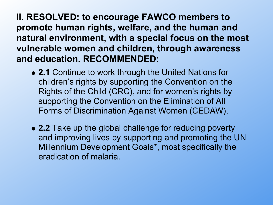**II. RESOLVED: to encourage FAWCO members to promote human rights, welfare, and the human and natural environment, with a special focus on the most vulnerable women and children, through awareness and education. RECOMMENDED:**

- **2.1** Continue to work through the United Nations for children's rights by supporting the Convention on the Rights of the Child (CRC), and for women's rights by supporting the Convention on the Elimination of All Forms of Discrimination Against Women (CEDAW).
- **2.2** Take up the global challenge for reducing poverty and improving lives by supporting and promoting the UN Millennium Development Goals\*, most specifically the eradication of malaria.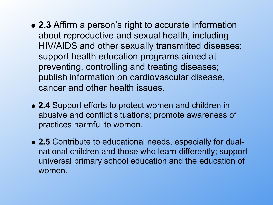- **2.3** Affirm a person's right to accurate information about reproductive and sexual health, including HIV/AIDS and other sexually transmitted diseases; support health education programs aimed at preventing, controlling and treating diseases; publish information on cardiovascular disease, cancer and other health issues.
- **2.4** Support efforts to protect women and children in abusive and conflict situations; promote awareness of practices harmful to women.
- **2.5** Contribute to educational needs, especially for dualnational children and those who learn differently; support universal primary school education and the education of women.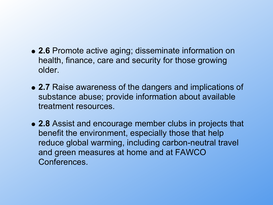- **2.6** Promote active aging; disseminate information on health, finance, care and security for those growing older.
- **2.7** Raise awareness of the dangers and implications of substance abuse; provide information about available treatment resources.
- **2.8** Assist and encourage member clubs in projects that benefit the environment, especially those that help reduce global warming, including carbon-neutral travel and green measures at home and at FAWCO Conferences.